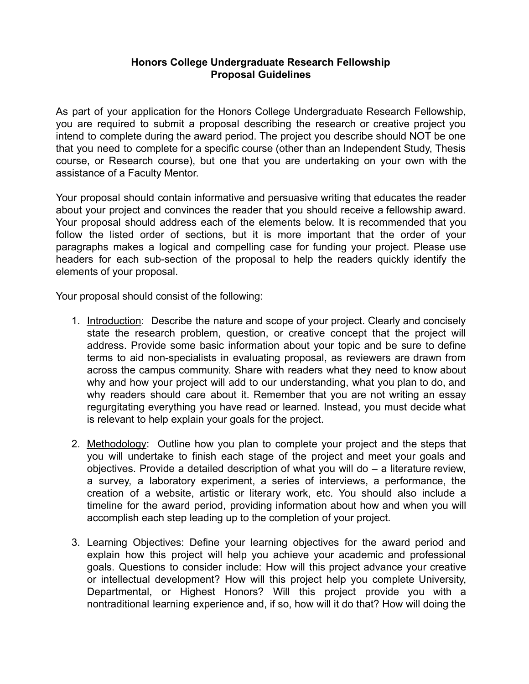## **Honors College Undergraduate Research Fellowship Proposal Guidelines**

As part of your application for the Honors College Undergraduate Research Fellowship, you are required to submit a proposal describing the research or creative project you intend to complete during the award period. The project you describe should NOT be one that you need to complete for a specific course (other than an Independent Study, Thesis course, or Research course), but one that you are undertaking on your own with the assistance of a Faculty Mentor.

Your proposal should contain informative and persuasive writing that educates the reader about your project and convinces the reader that you should receive a fellowship award. Your proposal should address each of the elements below. It is recommended that you follow the listed order of sections, but it is more important that the order of your paragraphs makes a logical and compelling case for funding your project. Please use headers for each sub-section of the proposal to help the readers quickly identify the elements of your proposal.

Your proposal should consist of the following:

- 1. Introduction: Describe the nature and scope of your project. Clearly and concisely state the research problem, question, or creative concept that the project will address. Provide some basic information about your topic and be sure to define terms to aid non-specialists in evaluating proposal, as reviewers are drawn from across the campus community. Share with readers what they need to know about why and how your project will add to our understanding, what you plan to do, and why readers should care about it. Remember that you are not writing an essay regurgitating everything you have read or learned. Instead, you must decide what is relevant to help explain your goals for the project.
- 2. Methodology: Outline how you plan to complete your project and the steps that you will undertake to finish each stage of the project and meet your goals and objectives. Provide a detailed description of what you will do – a literature review, a survey, a laboratory experiment, a series of interviews, a performance, the creation of a website, artistic or literary work, etc. You should also include a timeline for the award period, providing information about how and when you will accomplish each step leading up to the completion of your project.
- 3. Learning Objectives: Define your learning objectives for the award period and explain how this project will help you achieve your academic and professional goals. Questions to consider include: How will this project advance your creative or intellectual development? How will this project help you complete University, Departmental, or Highest Honors? Will this project provide you with a nontraditional learning experience and, if so, how will it do that? How will doing the